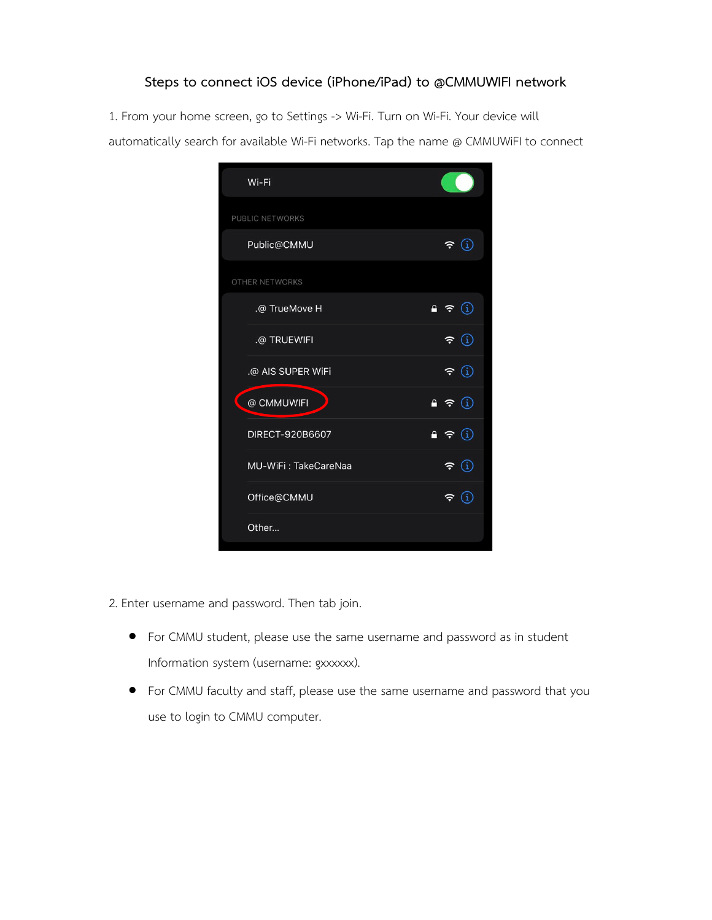## **Steps to connect iOS device (iPhone/iPad) to @CMMUWIFI network**

1. From your home screen, go to Settings -> Wi-Fi. Turn on Wi-Fi. Your device will automatically search for available Wi-Fi networks. Tap the name @ CMMUWiFI to connect

| Wi-Fi                |                                                                |
|----------------------|----------------------------------------------------------------|
| PUBLIC NETWORKS      |                                                                |
| Public@CMMU          | $\widehat{\texttt{r}}$ (i                                      |
| OTHER NETWORKS       |                                                                |
| .@ TrueMove H        | $\bullet \in \textcircled{\scriptsize\textcircled{\tiny i}}$   |
| .@ TRUEWIFI          | $\widehat{\mathbb{F}}$ $\oplus$                                |
| .@ AIS SUPER WiFi    | $\widehat{\mathbf{r}}$ (i)                                     |
| @ CMMUWIFI           | $\bullet \in \textcircled{\scriptsize\textcircled{\tiny\dag}}$ |
| DIRECT-920B6607      | $\bullet \in \textcircled{\scriptsize\textcircled{\tiny i}}$   |
| MU-WiFi: TakeCareNaa | $\widehat{\textbf{r}}$ (i)                                     |
| Office@CMMU          | $\widehat{\mathbf{z}}$ $\in$                                   |
| Other                |                                                                |

- 2. Enter username and password. Then tab join.
	- For CMMU student, please use the same username and password as in student Information system (username: gxxxxxx).
	- For CMMU faculty and staff, please use the same username and password that you use to login to CMMU computer.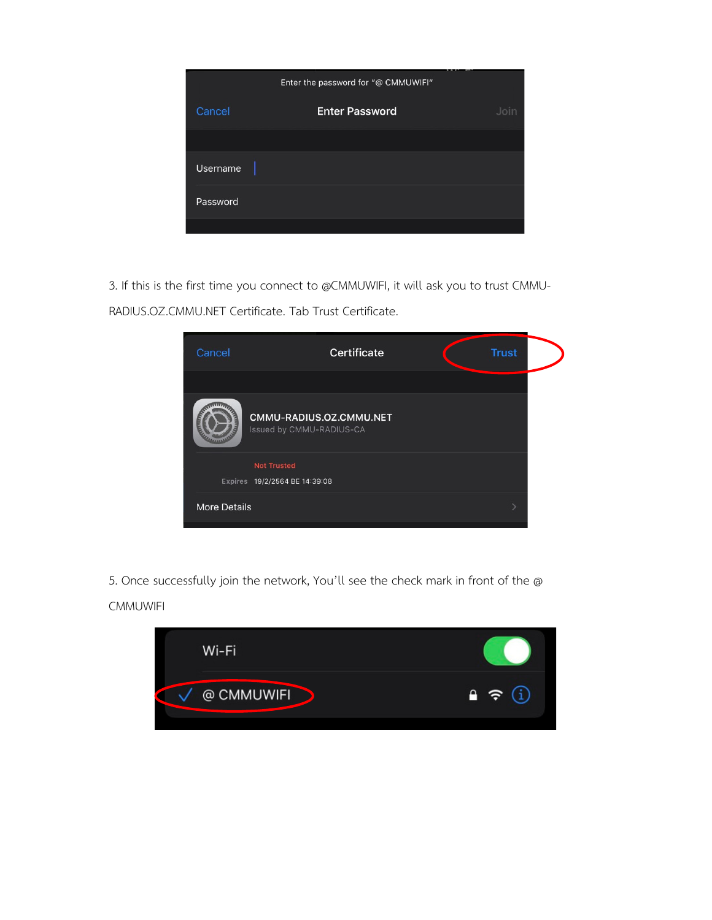|                 | Enter the password for "@ CMMUWIFI" |      |
|-----------------|-------------------------------------|------|
| Cancel          | <b>Enter Password</b>               | Join |
|                 |                                     |      |
| <b>Username</b> |                                     |      |
| Password        |                                     |      |
|                 |                                     |      |

3. If this is the first time you connect to @CMMUWIFI, it will ask you to trust CMMU-RADIUS.OZ.CMMU.NET Certificate. Tab Trust Certificate.

| Cancel              | <b>Certificate</b>                                  | <b>Trust</b> |  |
|---------------------|-----------------------------------------------------|--------------|--|
|                     | CMMU-RADIUS.OZ.CMMU.NET<br>Issued by CMMU-RADIUS-CA |              |  |
|                     | <b>Not Trusted</b><br>Expires 19/2/2564 BE 14:39:08 |              |  |
| <b>More Details</b> |                                                     |              |  |

5. Once successfully join the network, You'll see the check mark in front of the @ **CMMUWIFI** 

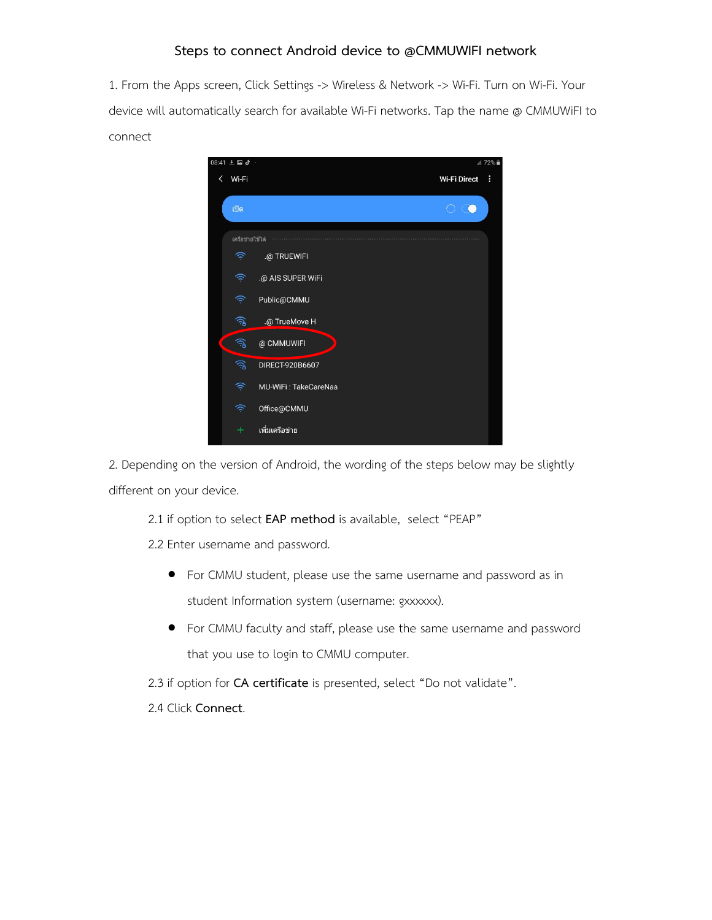## **Steps to connect Android device to @CMMUWIFI network**

1. From the Apps screen, Click Settings -> Wireless & Network -> Wi-Fi. Turn on Wi-Fi. Your device will automatically search for available Wi-Fi networks. Tap the name @ CMMUWiFI to connect



2. Depending on the version of Android, the wording of the steps below may be slightly different on your device.

2.1 if option to select **EAP method** is available, select "PEAP"

2.2 Enter username and password.

- For CMMU student, please use the same username and password as in student Information system (username: gxxxxxx).
- For CMMU faculty and staff, please use the same username and password that you use to login to CMMU computer.

2.3 if option for **CA certificate** is presented, select "Do not validate".

2.4 Click **Connect**.